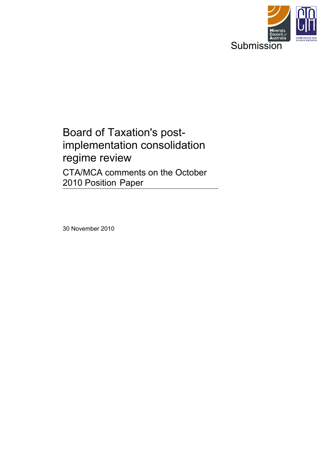

# Board of Taxation's postimplementation consolidation regime review CTA/MCA comments on the October 2010 Position Paper

30 November 2010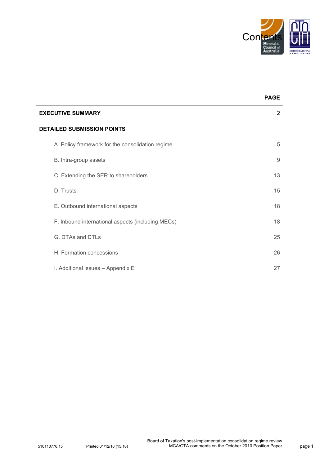

**PAGE**

| <b>EXECUTIVE SUMMARY</b>                          | 2  |  |  |
|---------------------------------------------------|----|--|--|
| <b>DETAILED SUBMISSION POINTS</b>                 |    |  |  |
| A. Policy framework for the consolidation regime  | 5  |  |  |
| B. Intra-group assets                             | 9  |  |  |
| C. Extending the SER to shareholders              | 13 |  |  |
| D. Trusts                                         | 15 |  |  |
| E. Outbound international aspects                 | 18 |  |  |
| F. Inbound international aspects (including MECs) | 18 |  |  |
| G. DTAs and DTLs                                  | 25 |  |  |
| H. Formation concessions                          | 26 |  |  |
| I. Additional issues - Appendix E                 | 27 |  |  |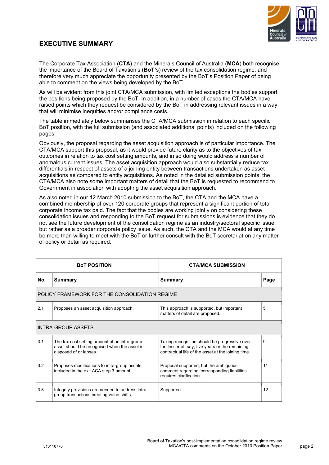

# **EXECUTIVE SUMMARY**

The Corporate Tax Association (**CTA**) and the Minerals Council of Australia (**MCA**) both recognise the importance of the Board of Taxation's (**BoT'**s) review of the tax consolidation regime, and therefore very much appreciate the opportunity presented by the BoT's Position Paper of being able to comment on the views being developed by the BoT.

As will be evident from this joint CTA/MCA submission, with limited exceptions the bodies support the positions being proposed by the BoT. In addition, in a number of cases the CTA/MCA have raised points which they request be considered by the BoT in addressing relevant issues in a way that will minimise inequities and/or compliance costs.

The table immediately below summarises the CTA/MCA submission in relation to each specific BoT position, with the full submission (and associated additional points) included on the following pages.

Obviously, the proposal regarding the asset acquisition approach is of particular importance. The CTA/MCA support this proposal, as it would provide future clarity as to the objectives of tax outcomes in relation to tax cost setting amounts, and in so doing would address a number of anomalous current issues. The asset acquisition approach would also substantially reduce tax differentials in respect of assets of a joining entity between transactions undertaken as asset acquisitions as compared to entity acquisitions. As noted in the detailed submission points, the CTA/MCA also note some important matters of detail that the BoT is requested to recommend to Government in association with adopting the asset acquisition approach.

As also noted in our 12 March 2010 submission to the BoT, the CTA and the MCA have a combined membership of over 120 corporate groups that represent a significant portion of total corporate income tax paid. The fact that the bodies are working jointly on considering these consolidation issues and responding to the BoT request for submissions is evidence that they do not see the future development of the consolidation regime as an industry/sectoral specific issue, but rather as a broader corporate policy issue. As such, the CTA and the MCA would at any time be more than willing to meet with the BoT or further consult with the BoT secretariat on any matter of policy or detail as required.

| <b>BOT POSITION</b>                           |                                                                                                                         | <b>CTA/MCA SUBMISSION</b>                                                                                                                              |      |  |  |
|-----------------------------------------------|-------------------------------------------------------------------------------------------------------------------------|--------------------------------------------------------------------------------------------------------------------------------------------------------|------|--|--|
| No.                                           | <b>Summary</b>                                                                                                          | <b>Summary</b>                                                                                                                                         | Page |  |  |
| POLICY FRAMEWORK FOR THE CONSOLIDATION REGIME |                                                                                                                         |                                                                                                                                                        |      |  |  |
| 2.1                                           | Proposes an asset acquisition approach.                                                                                 | This approach is supported, but important<br>matters of detail are proposed.                                                                           | 5    |  |  |
| <b>INTRA-GROUP ASSETS</b>                     |                                                                                                                         |                                                                                                                                                        |      |  |  |
| 3.1                                           | The tax cost setting amount of an intra-group<br>asset should be recognised when the asset is<br>disposed of or lapses. | Taxing recognition should be progressive over<br>the lesser of, say, five years or the remaining<br>contractual life of the asset at the joining time. | 9    |  |  |
| 3.2                                           | Proposes modifications to intra-group assets<br>included in the exit ACA step 3 amount.                                 | Proposal supported, but the ambiguous<br>comment regarding 'corresponding liabilities'<br>requires clarification.                                      | 11   |  |  |
| 3.3                                           | Integrity provisions are needed to address intra-<br>group transactions creating value shifts.                          | Supported.                                                                                                                                             | 12   |  |  |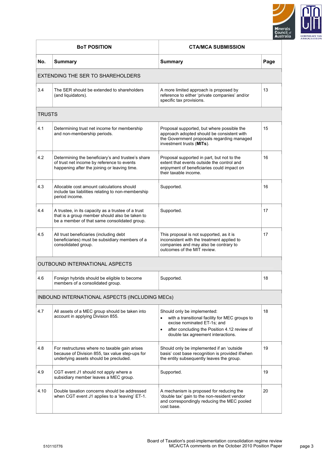

| <b>BoT POSITION</b> |                                                                                                                                                      | <b>CTA/MCA SUBMISSION</b>                                                                                                                                                                                                    |      |
|---------------------|------------------------------------------------------------------------------------------------------------------------------------------------------|------------------------------------------------------------------------------------------------------------------------------------------------------------------------------------------------------------------------------|------|
| No.                 | <b>Summary</b>                                                                                                                                       | <b>Summary</b>                                                                                                                                                                                                               | Page |
|                     | EXTENDING THE SER TO SHAREHOLDERS                                                                                                                    |                                                                                                                                                                                                                              |      |
| 3.4                 | The SER should be extended to shareholders<br>(and liquidators).                                                                                     | A more limited approach is proposed by<br>reference to either 'private companies' and/or<br>specific tax provisions.                                                                                                         | 13   |
| TRUSTS              |                                                                                                                                                      |                                                                                                                                                                                                                              |      |
| 4.1                 | Determining trust net income for membership<br>and non-membership periods.                                                                           | Proposal supported, but where possible the<br>approach adopted should be consistent with<br>the Government proposals regarding managed<br>investment trusts (MITs).                                                          | 15   |
| 4.2                 | Determining the beneficiary's and trustee's share<br>of trust net income by reference to events<br>happening after the joining or leaving time.      | Proposal supported in part, but not to the<br>extent that events outside the control and<br>enjoyment of beneficiaries could impact on<br>their taxable income.                                                              | 16   |
| 4.3                 | Allocable cost amount calculations should<br>include tax liabilities relating to non-membership<br>period income.                                    | Supported.                                                                                                                                                                                                                   | 16   |
| 4.4                 | A trustee, in its capacity as a trustee of a trust<br>that is a group member should also be taken to<br>be a member of that same consolidated group. | Supported.                                                                                                                                                                                                                   | 17   |
| 4.5                 | All trust beneficiaries (including debt<br>beneficiaries) must be subsidiary members of a<br>consolidated group.                                     | This proposal is not supported, as it is<br>inconsistent with the treatment applied to<br>companies and may also be contrary to<br>outcomes of the MIT review.                                                               | 17   |
|                     | <b>OUTBOUND INTERNATIONAL ASPECTS</b>                                                                                                                |                                                                                                                                                                                                                              |      |
| 4.6                 | Foreign hybrids should be eligible to become<br>members of a consolidated group.                                                                     | Supported.                                                                                                                                                                                                                   | 18   |
|                     | INBOUND INTERNATIONAL ASPECTS (INCLUDING MECs)                                                                                                       |                                                                                                                                                                                                                              |      |
| 4.7                 | All assets of a MEC group should be taken into<br>account in applying Division 855.                                                                  | Should only be implemented:<br>with a transitional facility for MEC groups to<br>$\bullet$<br>excise nominated ET-1s; and<br>after concluding the Position 4.12 review of<br>$\bullet$<br>double tax agreement interactions. | 18   |
| 4.8                 | For restructures where no taxable gain arises<br>because of Division 855, tax value step-ups for<br>underlying assets should be precluded.           | Should only be implemented if an 'outside<br>basis' cost base recognition is provided if/when<br>the entity subsequently leaves the group.                                                                                   | 19   |
| 4.9                 | CGT event J1 should not apply where a<br>subsidiary member leaves a MEC group.                                                                       | Supported.                                                                                                                                                                                                                   | 19   |
| 4.10                | Double taxation concerns should be addressed<br>when CGT event J1 applies to a 'leaving' ET-1.                                                       | A mechanism is proposed for reducing the<br>'double tax' gain to the non-resident vendor<br>and correspondingly reducing the MEC pooled<br>cost base.                                                                        | 20   |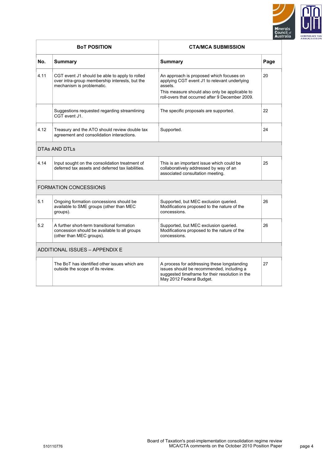

|                              | <b>BOT POSITION</b>                                                                                                           | <b>CTA/MCA SUBMISSION</b>                                                                                                                                                                                |      |
|------------------------------|-------------------------------------------------------------------------------------------------------------------------------|----------------------------------------------------------------------------------------------------------------------------------------------------------------------------------------------------------|------|
| No.                          | <b>Summary</b>                                                                                                                | <b>Summary</b>                                                                                                                                                                                           | Page |
| 4.11                         | CGT event J1 should be able to apply to rolled<br>over intra-group membership interests, but the<br>mechanism is problematic. | An approach is proposed which focuses on<br>applying CGT event J1 to relevant underlying<br>assets.<br>This measure should also only be applicable to<br>roll-overs that occurred after 9 December 2009. | 20   |
|                              | Suggestions requested regarding streamlining<br>CGT event J1.                                                                 | The specific proposals are supported.                                                                                                                                                                    | 22   |
| 4.12                         | Treasury and the ATO should review double tax<br>agreement and consolidation interactions.                                    | Supported.                                                                                                                                                                                               | 24   |
| <b>DTAs AND DTLs</b>         |                                                                                                                               |                                                                                                                                                                                                          |      |
| 4.14                         | Input sought on the consolidation treatment of<br>deferred tax assets and deferred tax liabilities.                           | This is an important issue which could be<br>collaboratively addressed by way of an<br>associated consultation meeting.                                                                                  | 25   |
| <b>FORMATION CONCESSIONS</b> |                                                                                                                               |                                                                                                                                                                                                          |      |
| 5.1                          | Ongoing formation concessions should be<br>available to SME groups (other than MEC<br>groups).                                | Supported, but MEC exclusion queried.<br>Modifications proposed to the nature of the<br>concessions.                                                                                                     | 26   |
| 5.2                          | A further short-term transitional formation<br>concession should be available to all groups<br>(other than MEC groups).       | Supported, but MEC exclusion queried.<br>Modifications proposed to the nature of the<br>concessions.                                                                                                     | 26   |
|                              | ADDITIONAL ISSUES - APPENDIX E                                                                                                |                                                                                                                                                                                                          |      |
|                              | The BoT has identified other issues which are<br>outside the scope of its review.                                             | A process for addressing these longstanding<br>issues should be recommended, including a<br>suggested timeframe for their resolution in the<br>May 2012 Federal Budget.                                  | 27   |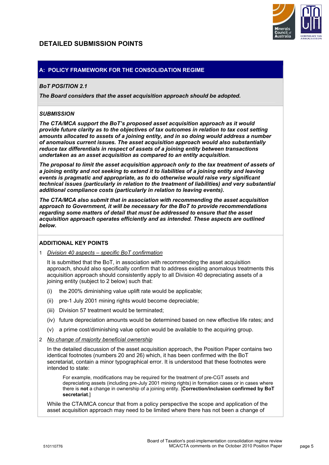# **DETAILED SUBMISSION POINTS**



# **A: POLICY FRAMEWORK FOR THE CONSOLIDATION REGIME**

# *BoT POSITION 2.1*

*The Board considers that the asset acquisition approach should be adopted.* 

## *SUBMISSION*

*The CTA/MCA support the BoT's proposed asset acquisition approach as it would provide future clarity as to the objectives of tax outcomes in relation to tax cost setting amounts allocated to assets of a joining entity, and in so doing would address a number of anomalous current issues. The asset acquisition approach would also substantially reduce tax differentials in respect of assets of a joining entity between transactions undertaken as an asset acquisition as compared to an entity acquisition.* 

*The proposal to limit the asset acquisition approach only to the tax treatment of assets of a joining entity and not seeking to extend it to liabilities of a joining entity and leaving events is pragmatic and appropriate, as to do otherwise would raise very significant technical issues (particularly in relation to the treatment of liabilities) and very substantial additional compliance costs (particularly in relation to leaving events).* 

*The CTA/MCA also submit that in association with recommending the asset acquisition approach to Government, it will be necessary for the BoT to provide recommendations regarding some matters of detail that must be addressed to ensure that the asset acquisition approach operates efficiently and as intended. These aspects are outlined below.* 

# **ADDITIONAL KEY POINTS**

1 *Division 40 aspects – specific BoT confirmation*

It is submitted that the BoT, in association with recommending the asset acquisition approach, should also specifically confirm that to address existing anomalous treatments this acquisition approach should consistently apply to all Division 40 depreciating assets of a joining entity (subject to 2 below) such that:

- the 200% diminishing value uplift rate would be applicable;
- (ii) pre-1 July 2001 mining rights would become depreciable;
- (iii) Division 57 treatment would be terminated;
- (iv) future depreciation amounts would be determined based on new effective life rates; and
- (v) a prime cost/diminishing value option would be available to the acquiring group.
- 2 *No change of majority beneficial ownership*

In the detailed discussion of the asset acquisition approach, the Position Paper contains two identical footnotes (numbers 20 and 26) which, it has been confirmed with the BoT secretariat, contain a minor typographical error. It is understood that these footnotes were intended to state:

For example, modifications may be required for the treatment of pre-CGT assets and depreciating assets (including pre-July 2001 mining rights) in formation cases or in cases where there is **not** a change in ownership of a joining entity. [**Correction/inclusion confirmed by BoT secretariat**.]

While the CTA/MCA concur that from a policy perspective the scope and application of the asset acquisition approach may need to be limited where there has not been a change of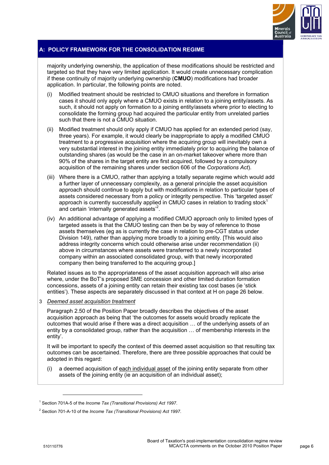

# **A: POLICY FRAMEWORK FOR THE CONSOLIDATION REGIME**

majority underlying ownership, the application of these modifications should be restricted and targeted so that they have very limited application. It would create unnecessary complication if these continuity of majority underlying ownership (**CMUO**) modifications had broader application. In particular, the following points are noted.

- (i) Modified treatment should be restricted to CMUO situations and therefore in formation cases it should only apply where a CMUO exists in relation to a joining entity/assets. As such, it should not apply on formation to a joining entity/assets where prior to electing to consolidate the forming group had acquired the particular entity from unrelated parties such that there is not a CMUO situation.
- (ii) Modified treatment should only apply if CMUO has applied for an extended period (say, three years). For example, it would clearly be inappropriate to apply a modified CMUO treatment to a progressive acquisition where the acquiring group will inevitably own a very substantial interest in the joining entity immediately prior to acquiring the balance of outstanding shares (as would be the case in an on-market takeover where more than 90% of the shares in the target entity are first acquired, followed by a compulsory acquisition of the remaining shares under section 606 of the *Corporations Act*).
- (iii) Where there is a CMUO, rather than applying a totally separate regime which would add a further layer of unnecessary complexity, as a general principle the asset acquisition approach should continue to apply but with modifications in relation to particular types of assets considered necessary from a policy or integrity perspective. This 'targeted asset' approach is currently successfully applied in CMUO cases in relation to trading stock<sup>1</sup> and certain 'internally generated assets'<sup>2</sup>.
- (iv) An additional advantage of applying a modified CMUO approach only to limited types of targeted assets is that the CMUO testing can then be by way of reference to those assets themselves (eg as is currently the case in relation to pre-CGT status under Division 149), rather than applying more broadly to a joining entity. [This would also address integrity concerns which could otherwise arise under recommendation (ii) above in circumstances where assets were transferred to a newly incorporated company within an associated consolidated group, with that newly incorporated company then being transferred to the acquiring group.]

Related issues as to the appropriateness of the asset acquisition approach will also arise where, under the BoT's proposed SME concession and other limited duration formation concessions, assets of a joining entity can retain their existing tax cost bases (ie 'stick entities'). These aspects are separately discussed in that context at H on page 26 below.

#### 3 *Deemed asset acquisition treatment*

Paragraph 2.50 of the Position Paper broadly describes the objectives of the asset acquisition approach as being that 'the outcomes for assets would broadly replicate the outcomes that would arise if there was a direct acquisition … of the underlying assets of an entity by a consolidated group, rather than the acquisition … of membership interests in the entity'.

It will be important to specify the context of this deemed asset acquisition so that resulting tax outcomes can be ascertained. Therefore, there are three possible approaches that could be adopted in this regard:

a deemed acquisition of each individual asset of the joining entity separate from other assets of the joining entity (ie an acquisition of an individual asset);

 $\overline{a}$ 

<sup>&</sup>lt;sup>1</sup> Section 701A-5 of the *Income Tax (Transitional Provisions) Act 1997.* 

<sup>2</sup> Section 701-A-10 of the *Income Tax (Transitional Provisions) Act 1997*.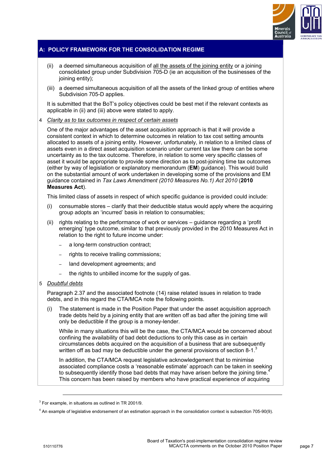

# **A: POLICY FRAMEWORK FOR THE CONSOLIDATION REGIME**

- (ii) a deemed simultaneous acquisition of all the assets of the joining entity or a joining consolidated group under Subdivision 705-D (ie an acquisition of the businesses of the joining entity);
- (iii) a deemed simultaneous acquisition of all the assets of the linked group of entities where Subdivision 705-D applies.

It is submitted that the BoT's policy objectives could be best met if the relevant contexts as applicable in (ii) and (iii) above were stated to apply.

## 4 *Clarity as to tax outcomes in respect of certain assets*

One of the major advantages of the asset acquisition approach is that it will provide a consistent context in which to determine outcomes in relation to tax cost setting amounts allocated to assets of a joining entity. However, unfortunately, in relation to a limited class of assets even in a direct asset acquisition scenario under current tax law there can be some uncertainty as to the tax outcome. Therefore, in relation to some very specific classes of asset it would be appropriate to provide some direction as to post-joining time tax outcomes (either by way of legislation or explanatory memorandum (**EM**) guidance). This would build on the substantial amount of work undertaken in developing some of the provisions and EM guidance contained in *Tax Laws Amendment (2010 Measures No.1) Act 2010* (**2010 Measures Act**).

This limited class of assets in respect of which specific guidance is provided could include:

- (i) consumable stores clarify that their deductible status would apply where the acquiring group adopts an 'incurred' basis in relation to consumables;
- (ii) rights relating to the performance of work or services guidance regarding a 'profit emerging' type outcome, similar to that previously provided in the 2010 Measures Act in relation to the right to future income under:
	- a long-term construction contract;
	- rights to receive trailing commissions;
	- land development agreements; and
	- the rights to unbilled income for the supply of gas.

#### 5 *Doubtful debts*

Paragraph 2.37 and the associated footnote (14) raise related issues in relation to trade debts, and in this regard the CTA/MCA note the following points.

(i) The statement is made in the Position Paper that under the asset acquisition approach trade debts held by a joining entity that are written off as bad after the joining time will only be deductible if the group is a money-lender.

While in many situations this will be the case, the CTA/MCA would be concerned about confining the availability of bad debt deductions to only this case as in certain circumstances debts acquired on the acquisition of a business that are subsequently written off as bad may be deductible under the general provisions of section 8-1. $3$ 

In addition, the CTA/MCA request legislative acknowledgement that to minimise associated compliance costs a 'reasonable estimate' approach can be taken in seeking to subsequently identify those bad debts that may have arisen before the joining time. $4$ This concern has been raised by members who have practical experience of acquiring

 $\overline{a}$ 

 $3$  For example, in situations as outlined in TR 2001/9.

<sup>&</sup>lt;sup>4</sup> An example of legislative endorsement of an estimation approach in the consolidation context is subsection 705-90(9).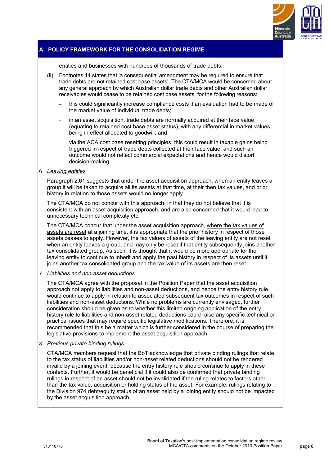

# **A: POLICY FRAMEWORK FOR THE CONSOLIDATION REGIME**

entities and businesses with hundreds of thousands of trade debts.

- (ii) Footnotes 14 states that 'a consequential amendment may be required to ensure that trade debts are not retained cost base assets'. The CTA/MCA would be concerned about any general approach by which Australian dollar trade debts and other Australian dollar receivables would cease to be retained cost base assets, for the following reasons:
	- this could significantly increase compliance costs if an evaluation had to be made of the market value of individual trade debts;
	- in an asset acquisition, trade debts are normally acquired at their face value (equating to retained cost base asset status), with any differential in market values being in effect allocated to goodwill; and
	- via the ACA cost base resetting principles, this could result in taxable gains being triggered in respect of trade debts collected at their face value, and such an outcome would not reflect commercial expectations and hence would distort decision-making.

#### 6 *Leaving entities*

Paragraph 2.61 suggests that under the asset acquisition approach, when an entity leaves a group it will be taken to acquire all its assets at that time, at their then tax values, and prior history in relation to those assets would no longer apply.

The CTA/MCA do not concur with this approach, in that they do not believe that it is consistent with an asset acquisition approach, and are also concerned that it would lead to unnecessary technical complexity etc.

The CTA/MCA concur that under the asset acquisition approach, where the tax values of assets are reset at a joining time, it is appropriate that the prior history in respect of those assets ceases to apply. However, the tax values of assets of the leaving entity are not reset when an entity leaves a group, and may only be reset if that entity subsequently joins another tax consolidated group. As such, it is thought that it would be more appropriate for the leaving entity to continue to inherit and apply the past history in respect of its assets until it joins another tax consolidated group and the tax value of its assets are then reset.

#### 7 *Liabilities and non-asset deductions*

The CTA/MCA agree with the proposal in the Position Paper that the asset acquisition approach not apply to liabilities and non-asset deductions, and hence the entry history rule would continue to apply in relation to associated subsequent tax outcomes in respect of such liabilities and non-asset deductions. While no problems are currently envisaged, further consideration should be given as to whether this limited ongoing application of the entry history rule to liabilities and non-asset related deductions could raise any specific technical or practical issues that may require specific legislative modifications. Therefore, it is recommended that this be a matter which is further considered in the course of preparing the legislative provisions to implement the asset acquisition approach.

#### 8 *Previous private binding rulings*

CTA/MCA members request that the BoT acknowledge that private binding rulings that relate to the tax status of liabilities and/or non-asset related deductions should not be rendered invalid by a joining event, because the entry history rule should continue to apply in these contexts. Further, it would be beneficial if it could also be confirmed that private binding rulings in respect of an asset should not be invalidated if the ruling relates to factors other than the tax value, acquisition or holding status of the asset. For example, rulings relating to the Division 974 debt/equity status of an asset held by a joining entity should not be impacted by the asset acquisition approach.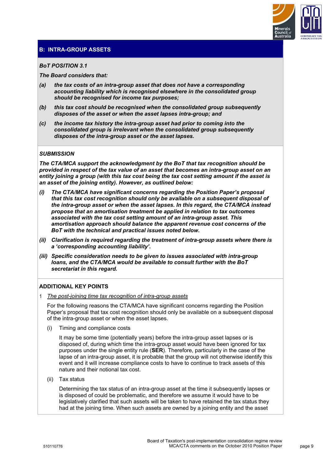

#### *BoT POSITION 3.1*

*The Board considers that:* 

- *(a) the tax costs of an intra-group asset that does not have a corresponding accounting liability which is recognised elsewhere in the consolidated group should be recognised for income tax purposes;*
- *(b) this tax cost should be recognised when the consolidated group subsequently disposes of the asset or when the asset lapses intra-group; and*
- *(c) the income tax history the intra-group asset had prior to coming into the consolidated group is irrelevant when the consolidated group subsequently disposes of the intra-group asset or the asset lapses.*

## *SUBMISSION*

*The CTA/MCA support the acknowledgment by the BoT that tax recognition should be provided in respect of the tax value of an asset that becomes an intra-group asset on an entity joining a group (with this tax cost being the tax cost setting amount if the asset is an asset of the joining entity). However, as outlined below:* 

- *(i) The CTA/MCA have significant concerns regarding the Position Paper's proposal that this tax cost recognition should only be available on a subsequent disposal of the intra-group asset or when the asset lapses. In this regard, the CTA/MCA instead propose that an amortisation treatment be applied in relation to tax outcomes associated with the tax cost setting amount of an intra-group asset. This amortisation approach should balance the apparent revenue cost concerns of the BoT with the technical and practical issues noted below.*
- *(ii) Clarification is required regarding the treatment of intra-group assets where there is a 'corresponding accounting liability'.*
- *(iii) Specific consideration needs to be given to issues associated with intra-group loans, and the CTA/MCA would be available to consult further with the BoT secretariat in this regard.*

# **ADDITIONAL KEY POINTS**

1 *The post-joining time tax recognition of intra-group assets*

For the following reasons the CTA/MCA have significant concerns regarding the Position Paper's proposal that tax cost recognition should only be available on a subsequent disposal of the intra-group asset or when the asset lapses.

(i) Timing and compliance costs

It may be some time (potentially years) before the intra-group asset lapses or is disposed of, during which time the intra-group asset would have been ignored for tax purposes under the single entity rule (**SER**). Therefore, particularly in the case of the lapse of an intra-group asset, it is probable that the group will not otherwise identify this event and it will increase compliance costs to have to continue to track assets of this nature and their notional tax cost.

(ii) Tax status

Determining the tax status of an intra-group asset at the time it subsequently lapses or is disposed of could be problematic, and therefore we assume it would have to be legislatively clarified that such assets will be taken to have retained the tax status they had at the joining time. When such assets are owned by a joining entity and the asset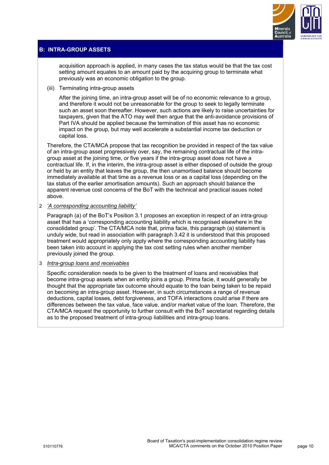

acquisition approach is applied, in many cases the tax status would be that the tax cost setting amount equates to an amount paid by the acquiring group to terminate what previously was an economic obligation to the group.

(iii) Terminating intra-group assets

After the joining time, an intra-group asset will be of no economic relevance to a group, and therefore it would not be unreasonable for the group to seek to legally terminate such an asset soon thereafter. However, such actions are likely to raise uncertainties for taxpayers, given that the ATO may well then argue that the anti-avoidance provisions of Part IVA should be applied because the termination of this asset has no economic impact on the group, but may well accelerate a substantial income tax deduction or capital loss.

Therefore, the CTA/MCA propose that tax recognition be provided in respect of the tax value of an intra-group asset progressively over, say, the remaining contractual life of the intragroup asset at the joining time, or five years if the intra-group asset does not have a contractual life. If, in the interim, the intra-group asset is either disposed of outside the group or held by an entity that leaves the group, the then unamortised balance should become immediately available at that time as a revenue loss or as a capital loss (depending on the tax status of the earlier amortisation amounts). Such an approach should balance the apparent revenue cost concerns of the BoT with the technical and practical issues noted above.

2 *'A corresponding accounting liability'*

Paragraph (a) of the BoT's Position 3.1 proposes an exception in respect of an intra-group asset that has a 'corresponding accounting liability which is recognised elsewhere in the consolidated group'. The CTA/MCA note that, prima facie, this paragraph (a) statement is unduly wide, but read in association with paragraph 3.42 it is understood that this proposed treatment would appropriately only apply where the corresponding accounting liability has been taken into account in applying the tax cost setting rules when another member previously joined the group.

3 *Intra-group loans and receivables*

Specific consideration needs to be given to the treatment of loans and receivables that become intra-group assets when an entity joins a group. Prima facie, it would generally be thought that the appropriate tax outcome should equate to the loan being taken to be repaid on becoming an intra-group asset. However, in such circumstances a range of revenue deductions, capital losses, debt forgiveness, and TOFA interactions could arise if there are differences between the tax value, face value, and/or market value of the loan. Therefore, the CTA/MCA request the opportunity to further consult with the BoT secretariat regarding details as to the proposed treatment of intra-group liabilities and intra-group loans.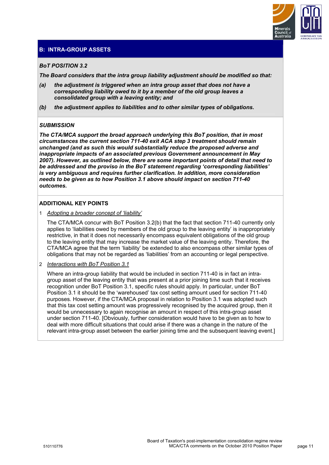

## *BoT POSITION 3.2*

*The Board considers that the intra group liability adjustment should be modified so that:* 

- *(a) the adjustment is triggered when an intra group asset that does not have a corresponding liability owed to it by a member of the old group leaves a consolidated group with a leaving entity; and*
- *(b) the adjustment applies to liabilities and to other similar types of obligations.*

#### *SUBMISSION*

*The CTA/MCA support the broad approach underlying this BoT position, that in most circumstances the current section 711-40 exit ACA step 3 treatment should remain unchanged (and as such this would substantially reduce the proposed adverse and inappropriate impacts of an associated previous Government announcement in May 2007). However, as outlined below, there are some important points of detail that need to be addressed and the proviso in the BoT statement regarding 'corresponding liabilities' is very ambiguous and requires further clarification. In addition, more consideration needs to be given as to how Position 3.1 above should impact on section 711-40 outcomes.* 

#### **ADDITIONAL KEY POINTS**

1 *Adopting a broader concept of 'liability'*

The CTA/MCA concur with BoT Position 3.2(b) that the fact that section 711-40 currently only applies to 'liabilities owed by members of the old group to the leaving entity' is inappropriately restrictive, in that it does not necessarily encompass equivalent obligations of the old group to the leaving entity that may increase the market value of the leaving entity. Therefore, the CTA/MCA agree that the term 'liability' be extended to also encompass other similar types of obligations that may not be regarded as 'liabilities' from an accounting or legal perspective.

2 *Interactions with BoT Position 3.1*

Where an intra-group liability that would be included in section 711-40 is in fact an intragroup asset of the leaving entity that was present at a prior joining time such that it receives recognition under BoT Position 3.1, specific rules should apply. In particular, under BoT Position 3.1 it should be the 'warehoused' tax cost setting amount used for section 711-40 purposes. However, if the CTA/MCA proposal in relation to Position 3.1 was adopted such that this tax cost setting amount was progressively recognised by the acquired group, then it would be unnecessary to again recognise an amount in respect of this intra-group asset under section 711-40. [Obviously, further consideration would have to be given as to how to deal with more difficult situations that could arise if there was a change in the nature of the relevant intra-group asset between the earlier joining time and the subsequent leaving event.]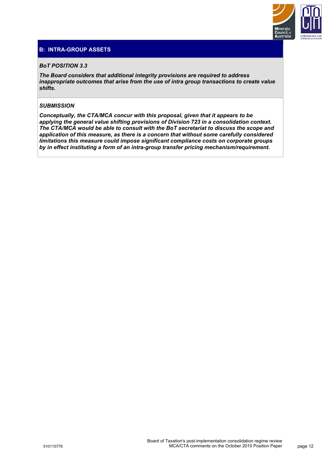

## *BoT POSITION 3.3*

*The Board considers that additional integrity provisions are required to address inappropriate outcomes that arise from the use of intra group transactions to create value shifts.* 

# *SUBMISSION*

*Conceptually, the CTA/MCA concur with this proposal, given that it appears to be applying the general value shifting provisions of Division 723 in a consolidation context. The CTA/MCA would be able to consult with the BoT secretariat to discuss the scope and application of this measure, as there is a concern that without some carefully considered limitations this measure could impose significant compliance costs on corporate groups by in effect instituting a form of an intra-group transfer pricing mechanism/requirement.*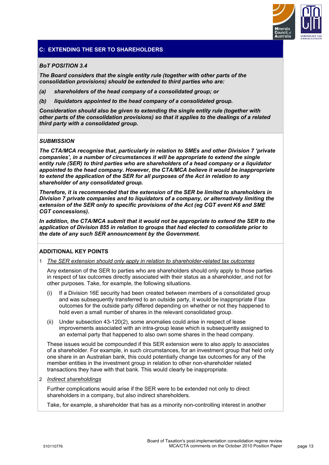

# **C: EXTENDING THE SER TO SHAREHOLDERS**

## *BoT POSITION 3.4*

*The Board considers that the single entity rule (together with other parts of the consolidation provisions) should be extended to third parties who are:* 

- *(a) shareholders of the head company of a consolidated group; or*
- *(b) liquidators appointed to the head company of a consolidated group.*

*Consideration should also be given to extending the single entity rule (together with other parts of the consolidation provisions) so that it applies to the dealings of a related third party with a consolidated group.* 

## *SUBMISSION*

*The CTA/MCA recognise that, particularly in relation to SMEs and other Division 7 'private companies', in a number of circumstances it will be appropriate to extend the single entity rule (SER) to third parties who are shareholders of a head company or a liquidator appointed to the head company. However, the CTA/MCA believe it would be inappropriate to extend the application of the SER for all purposes of the Act in relation to any shareholder of any consolidated group.* 

*Therefore, it is recommended that the extension of the SER be limited to shareholders in Division 7 private companies and to liquidators of a company, or alternatively limiting the extension of the SER only to specific provisions of the Act (eg CGT event K6 and SME CGT concessions).* 

In addition, the CTA/MCA submit that it would not be appropriate to extend the SER to the *application of Division 855 in relation to groups that had elected to consolidate prior to the date of any such SER announcement by the Government.* 

# **ADDITIONAL KEY POINTS**

1 *The SER extension should only apply in relation to shareholder-related tax outcomes*

Any extension of the SER to parties who are shareholders should only apply to those parties in respect of tax outcomes directly associated with their status as a shareholder, and not for other purposes. Take, for example, the following situations.

- (i) If a Division 16E security had been created between members of a consolidated group and was subsequently transferred to an outside party, it would be inappropriate if tax outcomes for the outside party differed depending on whether or not they happened to hold even a small number of shares in the relevant consolidated group.
- (ii) Under subsection 43-120(2), some anomalies could arise in respect of lease improvements associated with an intra-group lease which is subsequently assigned to an external party that happened to also own some shares in the head company.

These issues would be compounded if this SER extension were to also apply to associates of a shareholder. For example, in such circumstances, for an investment group that held only one share in an Australian bank, this could potentially change tax outcomes for any of the member entities in the investment group in relation to other non-shareholder related transactions they have with that bank. This would clearly be inappropriate.

2 *Indirect shareholdings*

Further complications would arise if the SER were to be extended not only to direct shareholders in a company, but also indirect shareholders.

Take, for example, a shareholder that has as a minority non-controlling interest in another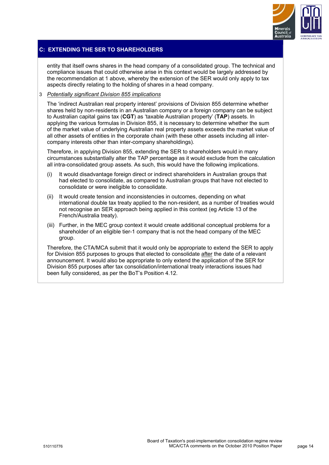

# **C: EXTENDING THE SER TO SHAREHOLDERS**

entity that itself owns shares in the head company of a consolidated group. The technical and compliance issues that could otherwise arise in this context would be largely addressed by the recommendation at 1 above, whereby the extension of the SER would only apply to tax aspects directly relating to the holding of shares in a head company.

#### 3 *Potentially significant Division 855 implications*

The 'indirect Australian real property interest' provisions of Division 855 determine whether shares held by non-residents in an Australian company or a foreign company can be subject to Australian capital gains tax (**CGT**) as 'taxable Australian property' (**TAP**) assets. In applying the various formulas in Division 855, it is necessary to determine whether the sum of the market value of underlying Australian real property assets exceeds the market value of all other assets of entities in the corporate chain (with these other assets including all intercompany interests other than inter-company shareholdings).

Therefore, in applying Division 855, extending the SER to shareholders would in many circumstances substantially alter the TAP percentage as it would exclude from the calculation all intra-consolidated group assets. As such, this would have the following implications.

- (i) It would disadvantage foreign direct or indirect shareholders in Australian groups that had elected to consolidate, as compared to Australian groups that have not elected to consolidate or were ineligible to consolidate.
- (ii) It would create tension and inconsistencies in outcomes, depending on what international double tax treaty applied to the non-resident, as a number of treaties would not recognise an SER approach being applied in this context (eg Article 13 of the French/Australia treaty).
- (iii) Further, in the MEC group context it would create additional conceptual problems for a shareholder of an eligible tier-1 company that is not the head company of the MEC group.

Therefore, the CTA/MCA submit that it would only be appropriate to extend the SER to apply for Division 855 purposes to groups that elected to consolidate after the date of a relevant announcement. It would also be appropriate to only extend the application of the SER for Division 855 purposes after tax consolidation/international treaty interactions issues had been fully considered, as per the BoT's Position 4.12.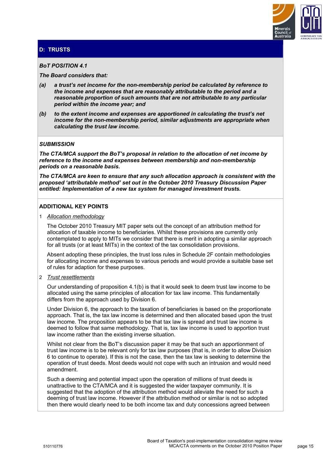

# **D: TRUSTS**

#### *BoT POSITION 4.1*

*The Board considers that:* 

- *(a) a trust's net income for the non-membership period be calculated by reference to the income and expenses that are reasonably attributable to the period and a reasonable proportion of such amounts that are not attributable to any particular period within the income year; and*
- *(b) to the extent income and expenses are apportioned in calculating the trust's net income for the non-membership period, similar adjustments are appropriate when calculating the trust law income.*

#### *SUBMISSION*

*The CTA/MCA support the BoT's proposal in relation to the allocation of net income by reference to the income and expenses between membership and non-membership periods on a reasonable basis.* 

*The CTA/MCA are keen to ensure that any such allocation approach is consistent with the proposed 'attributable method' set out in the October 2010 Treasury Discussion Paper entitled: Implementation of a new tax system for managed investment trusts.* 

## **ADDITIONAL KEY POINTS**

#### 1 *Allocation methodology*

The October 2010 Treasury MIT paper sets out the concept of an attribution method for allocation of taxable income to beneficiaries. Whilst these provisions are currently only contemplated to apply to MITs we consider that there is merit in adopting a similar approach for all trusts (or at least MITs) in the context of the tax consolidation provisions.

Absent adopting these principles, the trust loss rules in Schedule 2F contain methodologies for allocating income and expenses to various periods and would provide a suitable base set of rules for adaption for these purposes.

#### 2 *Trust resettlements*

Our understanding of proposition 4.1(b) is that it would seek to deem trust law income to be allocated using the same principles of allocation for tax law income. This fundamentally differs from the approach used by Division 6.

Under Division 6, the approach to the taxation of beneficiaries is based on the proportionate approach. That is, the tax law income is determined and then allocated based upon the trust law income. The proposition appears to be that tax law is spread and trust law income is deemed to follow that same methodology. That is, tax law income is used to apportion trust law income rather than the existing inverse situation.

Whilst not clear from the BoT's discussion paper it may be that such an apportionment of trust law income is to be relevant only for tax law purposes (that is, in order to allow Division 6 to continue to operate). If this is not the case, then the tax law is seeking to determine the operation of trust deeds. Most deeds would not cope with such an intrusion and would need amendment.

Such a deeming and potential impact upon the operation of millions of trust deeds is unattractive to the CTA/MCA and it is suggested the wider taxpayer community. It is suggested that the adoption of the attribution method would alleviate the need for such a deeming of trust law income. However if the attribution method or similar is not so adopted then there would clearly need to be both income tax and duty concessions agreed between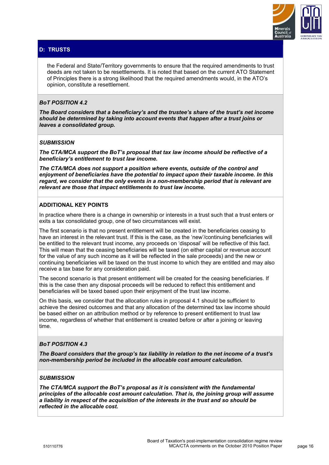

# **D: TRUSTS**

the Federal and State/Territory governments to ensure that the required amendments to trust deeds are not taken to be resettlements. It is noted that based on the current ATO Statement of Principles there is a strong likelihood that the required amendments would, in the ATO's opinion, constitute a resettlement.

## *BoT POSITION 4.2*

*The Board considers that a beneficiary's and the trustee's share of the trust's net income should be determined by taking into account events that happen after a trust joins or leaves a consolidated group.* 

#### *SUBMISSION*

*The CTA/MCA support the BoT's proposal that tax law income should be reflective of a beneficiary's entitlement to trust law income.* 

*The CTA/MCA does not support a position where events, outside of the control and enjoyment of beneficiaries have the potential to impact upon their taxable income. In this regard, we consider that the only events in a non-membership period that is relevant are relevant are those that impact entitlements to trust law income.* 

## **ADDITIONAL KEY POINTS**

In practice where there is a change in ownership or interests in a trust such that a trust enters or exits a tax consolidated group, one of two circumstances will exist.

The first scenario is that no present entitlement will be created in the beneficiaries ceasing to have an interest in the relevant trust. If this is the case, as the 'new'/continuing beneficiaries will be entitled to the relevant trust income, any proceeds on 'disposal' will be reflective of this fact. This will mean that the ceasing beneficiaries will be taxed (on either capital or revenue account for the value of any such income as it will be reflected in the sale proceeds) and the new or continuing beneficiaries will be taxed on the trust income to which they are entitled and may also receive a tax base for any consideration paid.

The second scenario is that present entitlement will be created for the ceasing beneficiaries. If this is the case then any disposal proceeds will be reduced to reflect this entitlement and beneficiaries will be taxed based upon their enjoyment of the trust law income.

On this basis, we consider that the allocation rules in proposal 4.1 should be sufficient to achieve the desired outcomes and that any allocation of the determined tax law income should be based either on an attribution method or by reference to present entitlement to trust law income, regardless of whether that entitlement is created before or after a joining or leaving time.

#### *BoT POSITION 4.3*

*The Board considers that the group's tax liability in relation to the net income of a trust's non-membership period be included in the allocable cost amount calculation.* 

## *SUBMISSION*

*The CTA/MCA support the BoT's proposal as it is consistent with the fundamental principles of the allocable cost amount calculation. That is, the joining group will assume a liability in respect of the acquisition of the interests in the trust and so should be reflected in the allocable cost.*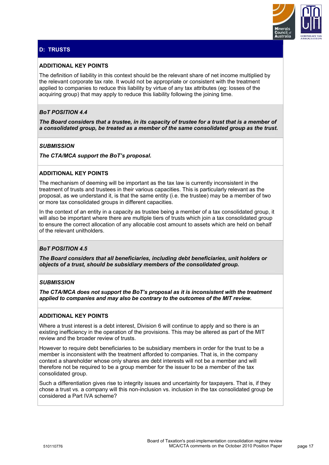

# **D: TRUSTS**

# **ADDITIONAL KEY POINTS**

The definition of liability in this context should be the relevant share of net income multiplied by the relevant corporate tax rate. It would not be appropriate or consistent with the treatment applied to companies to reduce this liability by virtue of any tax attributes (eg: losses of the acquiring group) that may apply to reduce this liability following the joining time.

# *BoT POSITION 4.4*

*The Board considers that a trustee, in its capacity of trustee for a trust that is a member of a consolidated group, be treated as a member of the same consolidated group as the trust.* 

### *SUBMISSION*

*The CTA/MCA support the BoT's proposal.* 

## **ADDITIONAL KEY POINTS**

The mechanism of deeming will be important as the tax law is currently inconsistent in the treatment of trusts and trustees in their various capacities. This is particularly relevant as the proposal, as we understand it, is that the same entity (i.e. the trustee) may be a member of two or more tax consolidated groups in different capacities.

In the context of an entity in a capacity as trustee being a member of a tax consolidated group, it will also be important where there are multiple tiers of trusts which join a tax consolidated group to ensure the correct allocation of any allocable cost amount to assets which are held on behalf of the relevant unitholders.

#### *BoT POSITION 4.5*

*The Board considers that all beneficiaries, including debt beneficiaries, unit holders or objects of a trust, should be subsidiary members of the consolidated group.* 

## *SUBMISSION*

*The CTA/MCA does not support the BoT's proposal as it is inconsistent with the treatment applied to companies and may also be contrary to the outcomes of the MIT review.* 

#### **ADDITIONAL KEY POINTS**

Where a trust interest is a debt interest. Division 6 will continue to apply and so there is an existing inefficiency in the operation of the provisions. This may be altered as part of the MIT review and the broader review of trusts.

However to require debt beneficiaries to be subsidiary members in order for the trust to be a member is inconsistent with the treatment afforded to companies. That is, in the company context a shareholder whose only shares are debt interests will not be a member and will therefore not be required to be a group member for the issuer to be a member of the tax consolidated group.

Such a differentiation gives rise to integrity issues and uncertainty for taxpayers. That is, if they chose a trust vs. a company will this non-inclusion vs. inclusion in the tax consolidated group be considered a Part IVA scheme?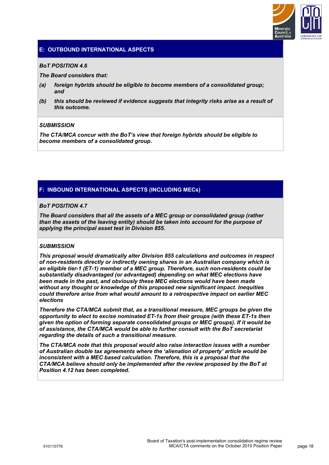

# **E: OUTBOUND INTERNATIONAL ASPECTS**

#### *BoT POSITION 4.6*

*The Board considers that:* 

- *(a) foreign hybrids should be eligible to become members of a consolidated group; and*
- *(b) this should be reviewed if evidence suggests that integrity risks arise as a result of this outcome.*

## *SUBMISSION*

*The CTA/MCA concur with the BoT's view that foreign hybrids should be eligible to become members of a consolidated group.* 

# **F: INBOUND INTERNATIONAL ASPECTS (INCLUDING MECs)**

#### *BoT POSITION 4.7*

*The Board considers that all the assets of a MEC group or consolidated group (rather than the assets of the leaving entity) should be taken into account for the purpose of applying the principal asset test in Division 855.* 

# *SUBMISSION*

*This proposal would dramatically alter Division 855 calculations and outcomes in respect of non-residents directly or indirectly owning shares in an Australian company which is an eligible tier-1 (ET-1) member of a MEC group. Therefore, such non-residents could be substantially disadvantaged (or advantaged) depending on what MEC elections have been made in the past, and obviously these MEC elections would have been made without any thought or knowledge of this proposed new significant impact. Inequities could therefore arise from what would amount to a retrospective impact on earlier MEC elections* 

*Therefore the CTA/MCA submit that, as a transitional measure, MEC groups be given the opportunity to elect to excise nominated ET-1s from their groups (with these ET-1s then given the option of forming separate consolidated groups or MEC groups). If it would be of assistance, the CTA/MCA would be able to further consult with the BoT secretariat regarding the details of such a transitional measure.* 

*The CTA/MCA note that this proposal would also raise interaction issues with a number of Australian double tax agreements where the 'alienation of property' article would be inconsistent with a MEC based calculation. Therefore, this is a proposal that the CTA/MCA believe should only be implemented after the review proposed by the BoT at Position 4.12 has been completed.*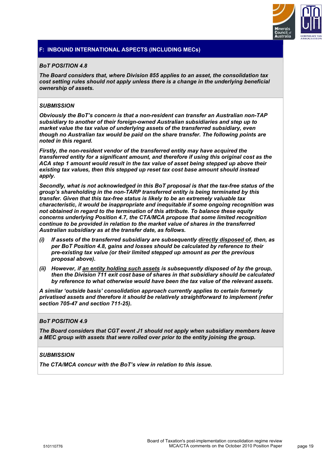

## *BoT POSITION 4.8*

*The Board considers that, where Division 855 applies to an asset, the consolidation tax cost setting rules should not apply unless there is a change in the underlying beneficial ownership of assets.* 

## *SUBMISSION*

*Obviously the BoT's concern is that a non-resident can transfer an Australian non-TAP subsidiary to another of their foreign-owned Australian subsidiaries and step up to market value the tax value of underlying assets of the transferred subsidiary, even though no Australian tax would be paid on the share transfer. The following points are noted in this regard.* 

*Firstly, the non-resident vendor of the transferred entity may have acquired the transferred entity for a significant amount, and therefore if using this original cost as the ACA step 1 amount would result in the tax value of asset being stepped up above their existing tax values, then this stepped up reset tax cost base amount should instead apply.* 

*Secondly, what is not acknowledged in this BoT proposal is that the tax-free status of the group's shareholding in the non-TARP transferred entity is being terminated by this transfer. Given that this tax-free status is likely to be an extremely valuable tax characteristic, it would be inappropriate and inequitable if some ongoing recognition was not obtained in regard to the termination of this attribute. To balance these equity concerns underlying Position 4.7, the CTA/MCA propose that some limited recognition continue to be provided in relation to the market value of shares in the transferred Australian subsidiary as at the transfer date, as follows.* 

- *(i) If assets of the transferred subsidiary are subsequently directly disposed of, then, as per BoT Position 4.8, gains and losses should be calculated by reference to their pre-existing tax value (or their limited stepped up amount as per the previous proposal above).*
- *(ii) However, if an entity holding such assets is subsequently disposed of by the group, then the Division 711 exit cost base of shares in that subsidiary should be calculated by reference to what otherwise would have been the tax value of the relevant assets.*

*A similar 'outside basis' consolidation approach currently applies to certain formerly privatised assets and therefore it should be relatively straightforward to implement (refer section 705-47 and section 711-25).* 

#### *BoT POSITION 4.9*

*The Board considers that CGT event J1 should not apply when subsidiary members leave a MEC group with assets that were rolled over prior to the entity joining the group.* 

### *SUBMISSION*

*The CTA/MCA concur with the BoT's view in relation to this issue.*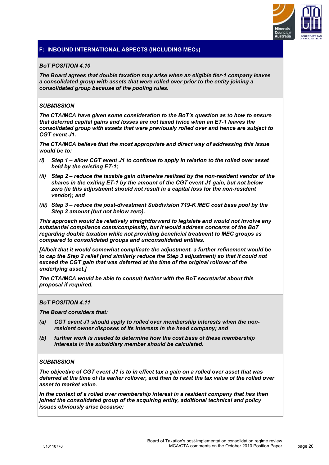

## *BoT POSITION 4.10*

*The Board agrees that double taxation may arise when an eligible tier-1 company leaves a consolidated group with assets that were rolled over prior to the entity joining a consolidated group because of the pooling rules.* 

## *SUBMISSION*

*The CTA/MCA have given some consideration to the BoT's question as to how to ensure that deferred capital gains and losses are not taxed twice when an ET-1 leaves the consolidated group with assets that were previously rolled over and hence are subject to CGT event J1.* 

*The CTA/MCA believe that the most appropriate and direct way of addressing this issue would be to:* 

- *(i) Step 1 allow CGT event J1 to continue to apply in relation to the rolled over asset held by the existing ET-1;*
- *(ii) Step 2 reduce the taxable gain otherwise realised by the non-resident vendor of the shares in the exiting ET-1 by the amount of the CGT event J1 gain, but not below zero (ie this adjustment should not result in a capital loss for the non-resident vendor); and*
- *(iii) Step 3 reduce the post-divestment Subdivision 719-K MEC cost base pool by the Step 2 amount (but not below zero).*

*This approach would be relatively straightforward to legislate and would not involve any substantial compliance costs/complexity, but it would address concerns of the BoT regarding double taxation while not providing beneficial treatment to MEC groups as compared to consolidated groups and unconsolidated entities.* 

*[Albeit that it would somewhat complicate the adjustment, a further refinement would be to cap the Step 2 relief (and similarly reduce the Step 3 adjustment) so that it could not exceed the CGT gain that was deferred at the time of the original rollover of the underlying asset.]* 

*The CTA/MCA would be able to consult further with the BoT secretariat about this proposal if required.* 

#### *BoT POSITION 4.11*

*The Board considers that:* 

- *(a) CGT event J1 should apply to rolled over membership interests when the nonresident owner disposes of its interests in the head company; and*
- *(b) further work is needed to determine how the cost base of these membership interests in the subsidiary member should be calculated.*

#### *SUBMISSION*

*The objective of CGT event J1 is to in effect tax a gain on a rolled over asset that was deferred at the time of its earlier rollover, and then to reset the tax value of the rolled over asset to market value.* 

*In the context of a rolled over membership interest in a resident company that has then joined the consolidated group of the acquiring entity, additional technical and policy issues obviously arise because:*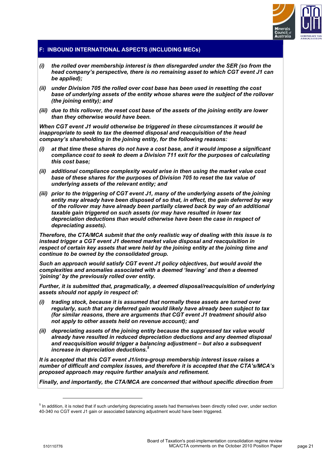

- *(i) the rolled over membership interest is then disregarded under the SER (so from the head company's perspective, there is no remaining asset to which CGT event J1 can be applied);*
- *(ii) under Division 705 the rolled over cost base has been used in resetting the cost base of underlying assets of the entity whose shares were the subject of the rollover (the joining entity); and*
- *(iii) due to this rollover, the reset cost base of the assets of the joining entity are lower than they otherwise would have been.*

*When CGT event J1 would otherwise be triggered in these circumstances it would be inappropriate to seek to tax the deemed disposal and reacquisition of the head company's shareholding in the joining entity, for the following reasons:* 

- *(i) at that time these shares do not have a cost base, and it would impose a significant compliance cost to seek to deem a Division 711 exit for the purposes of calculating this cost base;*
- *(ii) additional compliance complexity would arise in then using the market value cost base of these shares for the purposes of Division 705 to reset the tax value of underlying assets of the relevant entity; and*
- *(iii) prior to the triggering of CGT event J1, many of the underlying assets of the joining entity may already have been disposed of so that, in effect, the gain deferred by way of the rollover may have already been partially clawed back by way of an additional taxable gain triggered on such assets (or may have resulted in lower tax depreciation deductions than would otherwise have been the case in respect of depreciating assets).*

*Therefore, the CTA/MCA submit that the only realistic way of dealing with this issue is to instead trigger a CGT event J1 deemed market value disposal and reacquisition in respect of certain key assets that were held by the joining entity at the joining time and continue to be owned by the consolidated group.* 

*Such an approach would satisfy CGT event J1 policy objectives, but would avoid the complexities and anomalies associated with a deemed 'leaving' and then a deemed 'joining' by the previously rolled over entity.* 

*Further, it is submitted that, pragmatically, a deemed disposal/reacquisition of underlying assets should not apply in respect of:* 

- *(i) trading stock, because it is assumed that normally these assets are turned over regularly, such that any deferred gain would likely have already been subject to tax (for similar reasons, there are arguments that CGT event J1 treatment should also not apply to other assets held on revenue account); and*
- *(ii) depreciating assets of the joining entity because the suppressed tax value would already have resulted in reduced depreciation deductions and any deemed disposal and reacquisition would trigger a balancing adjustment – but also a subsequent increase in depreciation deductions.5*

*It is accepted that this CGT event J1/intra-group membership interest issue raises a number of difficult and complex issues, and therefore it is accepted that the CTA's/MCA's proposed approach may require further analysis and refinement.* 

*Finally, and importantly, the CTA/MCA are concerned that without specific direction from* 

 $\overline{a}$ 

<sup>&</sup>lt;sup>5</sup> In addition, it is noted that if such underlying depreciating assets had themselves been directly rolled over, under section 40-340 no CGT event J1 gain or associated balancing adjustment would have been triggered.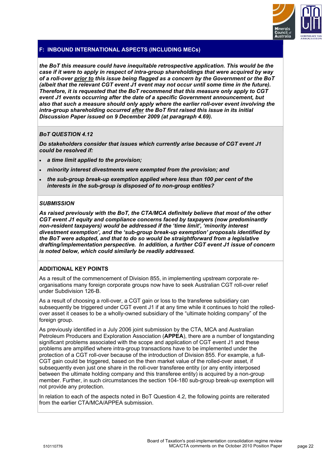

*the BoT this measure could have inequitable retrospective application. This would be the case if it were to apply in respect of intra-group shareholdings that were acquired by way of a roll-over prior to this issue being flagged as a concern by the Government or the BoT (albeit that the relevant CGT event J1 event may not occur until some time in the future). Therefore, it is requested that the BoT recommend that this measure only apply to CGT event J1 events occurring after the date of a specific Government announcement, but also that such a measure should only apply where the earlier roll-over event involving the intra-group shareholding occurred after the BoT first raised this issue in its initial Discussion Paper issued on 9 December 2009 (at paragraph 4.69).* 

# *BoT QUESTION 4.12*

*Do stakeholders consider that issues which currently arise because of CGT event J1 could be resolved if:* 

- *a time limit applied to the provision;*
- *minority interest divestments were exempted from the provision; and*
- *the sub-group break-up exemption applied where less than 100 per cent of the interests in the sub-group is disposed of to non-group entities?*

#### *SUBMISSION*

*As raised previously with the BoT, the CTA/MCA definitely believe that most of the other CGT event J1 equity and compliance concerns faced by taxpayers (now predominantly non-resident taxpayers) would be addressed if the 'time limit', 'minority interest divestment exemption', and the 'sub-group break-up exemption' proposals identified by the BoT were adopted, and that to do so would be straightforward from a legislative drafting/implementation perspective. In addition, a further CGT event J1 issue of concern is noted below, which could similarly be readily addressed.* 

#### **ADDITIONAL KEY POINTS**

As a result of the commencement of Division 855, in implementing upstream corporate reorganisations many foreign corporate groups now have to seek Australian CGT roll-over relief under Subdivision 126-B.

As a result of choosing a roll-over, a CGT gain or loss to the transferee subsidiary can subsequently be triggered under CGT event J1 if at any time while it continues to hold the rolledover asset it ceases to be a wholly-owned subsidiary of the "ultimate holding company" of the foreign group.

As previously identified in a July 2006 joint submission by the CTA, MCA and Australian Petroleum Producers and Exploration Association (**APPEA**), there are a number of longstanding significant problems associated with the scope and application of CGT event J1 and these problems are amplified where intra-group transactions have to be implemented under the protection of a CGT roll-over because of the introduction of Division 855. For example, a full-CGT gain could be triggered, based on the then market value of the rolled-over asset, if subsequently even just one share in the roll-over transferee entity (or any entity interposed between the ultimate holding company and this transferee entity) is acquired by a non-group member. Further, in such circumstances the section 104-180 sub-group break-up exemption will not provide any protection.

In relation to each of the aspects noted in BoT Question 4.2, the following points are reiterated from the earlier CTA/MCA/APPEA submission.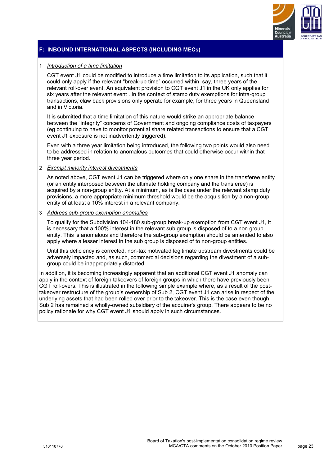

## 1 *Introduction of a time limitation*

CGT event J1 could be modified to introduce a time limitation to its application, such that it could only apply if the relevant "break-up time" occurred within, say, three years of the relevant roll-over event. An equivalent provision to CGT event J1 in the UK only applies for six years after the relevant event . In the context of stamp duty exemptions for intra-group transactions, claw back provisions only operate for example, for three years in Queensland and in Victoria.

It is submitted that a time limitation of this nature would strike an appropriate balance between the "integrity" concerns of Government and ongoing compliance costs of taxpayers (eg continuing to have to monitor potential share related transactions to ensure that a CGT event J1 exposure is not inadvertently triggered).

Even with a three year limitation being introduced, the following two points would also need to be addressed in relation to anomalous outcomes that could otherwise occur within that three year period.

## 2 *Exempt minority interest divestments*

As noted above, CGT event J1 can be triggered where only one share in the transferee entity (or an entity interposed between the ultimate holding company and the transferee) is acquired by a non-group entity. At a minimum, as is the case under the relevant stamp duty provisions, a more appropriate minimum threshold would be the acquisition by a non-group entity of at least a 10% interest in a relevant company.

#### 3 *Address sub-group exemption anomalies*

To qualify for the Subdivision 104-180 sub-group break-up exemption from CGT event J1, it is necessary that a 100% interest in the relevant sub group is disposed of to a non group entity. This is anomalous and therefore the sub-group exemption should be amended to also apply where a lesser interest in the sub group is disposed of to non-group entities.

Until this deficiency is corrected, non-tax motivated legitimate upstream divestments could be adversely impacted and, as such, commercial decisions regarding the divestment of a subgroup could be inappropriately distorted.

In addition, it is becoming increasingly apparent that an additional CGT event J1 anomaly can apply in the context of foreign takeovers of foreign groups in which there have previously been CGT roll-overs. This is illustrated in the following simple example where, as a result of the posttakeover restructure of the group's ownership of Sub 2, CGT event J1 can arise in respect of the underlying assets that had been rolled over prior to the takeover. This is the case even though Sub 2 has remained a wholly-owned subsidiary of the acquirer's group. There appears to be no policy rationale for why CGT event J1 should apply in such circumstances.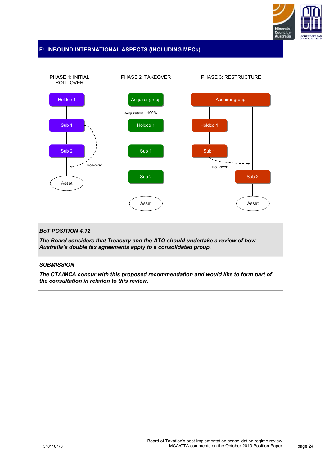



*The CTA/MCA concur with this proposed recommendation and would like to form part of the consultation in relation to this review.*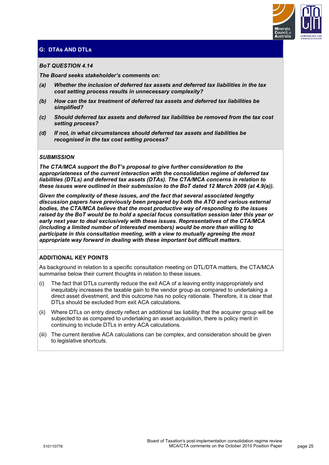

# **G: DTAs AND DTLs**

## *BoT QUESTION 4.14*

*The Board seeks stakeholder's comments on:* 

- *(a) Whether the inclusion of deferred tax assets and deferred tax liabilities in the tax cost setting process results in unnecessary complexity?*
- *(b) How can the tax treatment of deferred tax assets and deferred tax liabilities be simplified?*
- *(c) Should deferred tax assets and deferred tax liabilities be removed from the tax cost setting process?*
- *(d) If not, in what circumstances should deferred tax assets and liabilities be recognised in the tax cost setting process?*

## *SUBMISSION*

*The CTA/MCA support the BoT's proposal to give further consideration to the appropriateness of the current interaction with the consolidation regime of deferred tax liabilities (DTLs) and deferred tax assets (DTAs). The CTA/MCA concerns in relation to these issues were outlined in their submission to the BoT dated 12 March 2009 (at 4.9(a)).* 

*Given the complexity of these issues, and the fact that several associated lengthy discussion papers have previously been prepared by both the ATO and various external bodies, the CTA/MCA believe that the most productive way of responding to the issues raised by the BoT would be to hold a special focus consultation session later this year or early next year to deal exclusively with these issues. Representatives of the CTA/MCA (including a limited number of interested members) would be more than willing to participate in this consultation meeting, with a view to mutually agreeing the most appropriate way forward in dealing with these important but difficult matters.* 

#### **ADDITIONAL KEY POINTS**

As background in relation to a specific consultation meeting on DTL/DTA matters, the CTA/MCA summarise below their current thoughts in relation to these issues.

- (i) The fact that DTLs currently reduce the exit ACA of a leaving entity inappropriately and inequitably increases the taxable gain to the vendor group as compared to undertaking a direct asset divestment, and this outcome has no policy rationale. Therefore, it is clear that DTLs should be excluded from exit ACA calculations.
- (ii) Where DTLs on entry directly reflect an additional tax liability that the acquirer group will be subjected to as compared to undertaking an asset acquisition, there is policy merit in continuing to include DTLs in entry ACA calculations.
- (iii) The current iterative ACA calculations can be complex, and consideration should be given to legislative shortcuts.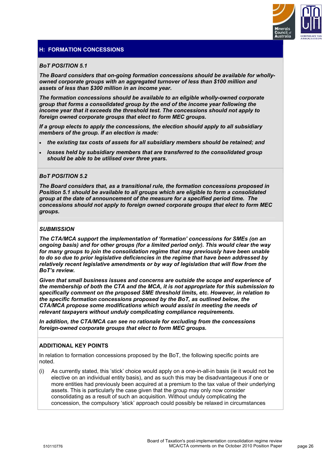

# **H: FORMATION CONCESSIONS**

#### *BoT POSITION 5.1*

*The Board considers that on-going formation concessions should be available for whollyowned corporate groups with an aggregated turnover of less than \$100 million and assets of less than \$300 million in an income year.* 

*The formation concessions should be available to an eligible wholly-owned corporate group that forms a consolidated group by the end of the income year following the income year that it exceeds the threshold test. The concessions should not apply to foreign owned corporate groups that elect to form MEC groups.* 

*If a group elects to apply the concessions, the election should apply to all subsidiary members of the group. If an election is made:* 

- *the existing tax costs of assets for all subsidiary members should be retained; and*
- *losses held by subsidiary members that are transferred to the consolidated group should be able to be utilised over three years.*

#### *BoT POSITION 5.2*

*The Board considers that, as a transitional rule, the formation concessions proposed in Position 5.1 should be available to all groups which are eligible to form a consolidated group at the date of announcement of the measure for a specified period time. The concessions should not apply to foreign owned corporate groups that elect to form MEC groups.* 

#### *SUBMISSION*

*The CTA/MCA support the implementation of 'formation' concessions for SMEs (on an ongoing basis) and for other groups (for a limited period only). This would clear the way for many groups to join the consolidation regime that may previously have been unable to do so due to prior legislative deficiencies in the regime that have been addressed by relatively recent legislative amendments or by way of legislation that will flow from the BoT's review.* 

*Given that small business issues and concerns are outside the scope and experience of the membership of both the CTA and the MCA, it is not appropriate for this submission to specifically comment on the proposed SME threshold limits, etc. However, in relation to the specific formation concessions proposed by the BoT, as outlined below, the CTA/MCA propose some modifications which would assist in meeting the needs of relevant taxpayers without unduly complicating compliance requirements.* 

*In addition, the CTA/MCA can see no rationale for excluding from the concessions foreign-owned corporate groups that elect to form MEC groups.* 

#### **ADDITIONAL KEY POINTS**

In relation to formation concessions proposed by the BoT, the following specific points are noted.

(i) As currently stated, this 'stick' choice would apply on a one-in-all-in basis (ie it would not be elective on an individual entity basis), and as such this may be disadvantageous if one or more entities had previously been acquired at a premium to the tax value of their underlying assets. This is particularly the case given that the group may only now consider consolidating as a result of such an acquisition. Without unduly complicating the concession, the compulsory 'stick' approach could possibly be relaxed in circumstances